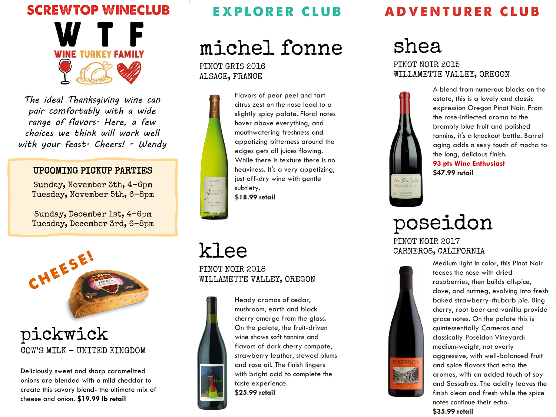

*The ideal Thanksgiving wine can pair comfortably with a wide range of flavors. Here, a few choices we think will work well with your feast. Cheers! - Wendy*

#### UPCOMING PICKUP PARTIES

Sunday, November 3th, 4-6pm Tuesday, November 5th, 6-8pm

Sunday, December 1st, 4-6pm Tuesday, December 3rd, 6-8pm



### pickwick COW'S MILK - UNITED KINGDOM

Deliciously sweet and sharp caramelized onions are blended with a mild cheddar to create this savory blend- the ultimate mix of cheese and onion. **\$19.99 lb retail**

### **EXPLORER CLUB**

michel fonne

PINOT GRIS 2016 ALSACE, FRANCE



Flavors of pear peel and tart citrus zest on the nose lead to a slightly spicy palate. Floral notes hover above everything, and mouthwatering freshness and appetizing bitterness around the edges gets all juices flowing. While there is texture there is no heaviness. It's a very appetizing, just off-dry wine with gentle subtlety. **\$18.99 retail**

## klee

PINOT NOIR 2018 WILLAMETTE VALLEY, OREGON



Heady aromas of cedar, mushroom, earth and black cherry emerge from the glass. On the palate, the fruit-driven wine shows soft tannins and flavors of dark cherry compote, strawberry leather, stewed plums and rose oil. The finish lingers with bright acid to complete the taste experience. **\$25.99 retail**

## **ADVENTURER CLUB**

# shea

### PINOT NOIR 2015 WILLAMETTE VALLEY, OREGON



A blend from numerous blocks on the estate, this is a lovely and classic expression Oregon Pinot Noir. From the rose-inflected aroma to the brambly blue fruit and polished tannins, it's a knockout bottle. Barrel aging adds a sexy touch of mocha to the long, delicious finish. **93 pts Wine Enthusiast \$47.99 retail**

# poseidon

PINOT NOIR 2017 CARNEROS, CALIFORNIA



Medium light in color, this Pinot Noir teases the nose with dried raspberries, then builds allspice, clove, and nutmeg, evolving into fresh baked strawberry-rhubarb pie. Bing cherry, root beer and vanilla provide grace notes. On the palate this is quintessentially Carneros and classically Poseidon Vineyard: medium-weight, not overly aggressive, with well-balanced fruit and spice flavors that echo the aromas, with an added touch of soy and Sassafras. The acidity leaves the finish clean and fresh while the spice notes continue their echo. **\$35.99 retail**